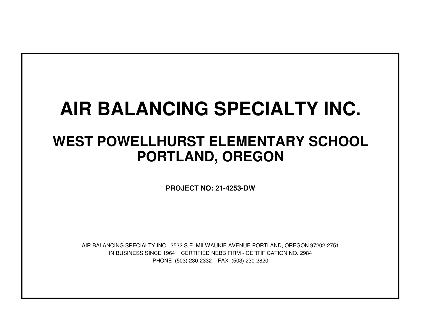# **AIR BALANCING SPECIALTY INC.**

## **WEST POWELLHURST ELEMENTARY SCHOOLPORTLAND, OREGON**

**PROJECT NO: 21-4253-DW**

IN BUSINESS SINCE 1964 CERTIFIED NEBB FIRM - CERTIFICATION NO. 2984PHONE (503) 230-2332 FAX (503) 230-2820AIR BALANCING SPECIALTY INC. 3532 S.E. MILWAUKIE AVENUE PORTLAND, OREGON 97202-2751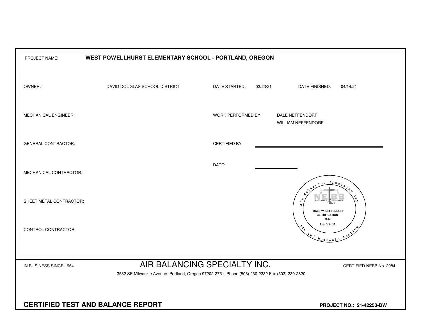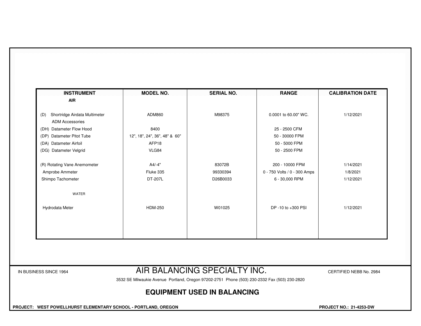| <b>INSTRUMENT</b><br>AIR             | <b>MODEL NO.</b>              | <b>SERIAL NO.</b> | <b>RANGE</b>                 | <b>CALIBRATION DATE</b> |
|--------------------------------------|-------------------------------|-------------------|------------------------------|-------------------------|
|                                      |                               |                   |                              |                         |
| Shortridge Airdata Multimeter<br>(D) | ADM860                        | M98375            | 0.0001 to 60.00" WC.         | 1/12/2021               |
| <b>ADM Accessories</b>               |                               |                   |                              |                         |
| (DH) Datameter Flow Hood             | 8400                          |                   | 25 - 2500 CFM                |                         |
| Datameter Pitot Tube<br>(DP)         | 12", 18", 24", 36", 48" & 60" |                   | 50 - 30000 FPM               |                         |
| (DA) Datameter Airfoil               | AFP18                         |                   | 50 - 5000 FPM                |                         |
| (DG) Datameter Velgrid               | VLG84                         |                   | 50 - 2500 FPM                |                         |
| (R) Rotating Vane Anemometer         | A4/-4"                        | 83072B            | 200 - 10000 FPM              | 1/14/2021               |
| Amprobe Ammeter                      | Fluke 335                     | 99330394          | 0 - 750 Volts / 0 - 300 Amps | 1/8/2021                |
| Shimpo Tachometer                    | DT-207L                       | D26B0033          | 6 - 30,000 RPM               | 1/12/2021               |
| WATER                                |                               |                   |                              |                         |
| Hydrodata Meter                      | <b>HDM-250</b>                | W01025            | DP-10 to +300 PSI            | 1/12/2021               |
|                                      |                               |                   |                              |                         |
|                                      |                               |                   |                              |                         |
|                                      |                               |                   |                              |                         |

### IN BUSINESS SINCE 1964 **AIR BALANCING SPECIALTY INC.** CERTIFIED NEBB No. 2984

3532 SE Milwaukie Avenue Portland, Oregon 97202-2751 Phone (503) 230-2332 Fax (503) 230-2820

#### **EQUIPMENT USED IN BALANCING**

 **PROJECT: WEST POWELLHURST ELEMENTARY SCHOOL - PORTLAND, OREGON PROJECT NO.: 21-4253-DW**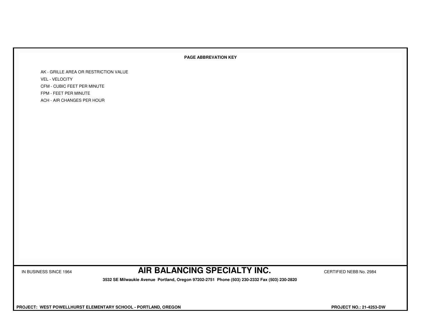#### **PAGE ABBREVATION KEY**

AK - GRILLE AREA OR RESTRICTION VALUEVEL - VELOCITY CFM - CUBIC FEET PER MINUTEFPM - FEET PER MINUTEACH - AIR CHANGES PER HOUR

IN BUSINESS SINCE 1964 **AIR BALANCING SPECIALTY INC.** CERTIFIED NEBB No. 2984

 **3532 SE Milwaukie Avenue Portland, Oregon 97202-2751 Phone (503) 230-2332 Fax (503) 230-2820**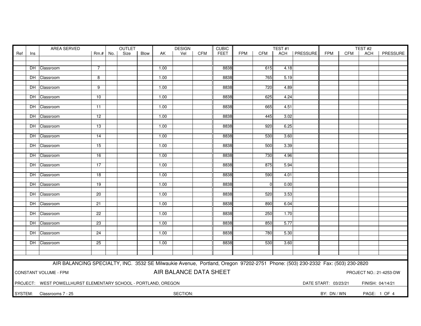| FEET<br>ACH   PRESSURE<br>PRESSURE<br>Ref<br>Size<br>Blow<br>Vel<br><b>CFM</b><br><b>FPM</b><br>CFM<br><b>FPM</b><br><b>CFM</b><br>$Rm.+No.$<br>AK<br>ACH<br>Ins<br>8838<br>DH Classroom<br>1.00<br>615<br>4.18<br>7<br>8838<br>765<br>DH Classroom<br>8<br>1.00<br>5.19<br>8838<br>720<br>DH Classroom<br>$\overline{9}$<br>1.00<br>4.89<br>1.00<br>8838<br>625<br>DH Classroom<br>10<br>4.24<br>DH Classroom<br>1.00<br>8838<br>665<br>4.51<br>11<br>DH Classroom<br>$\overline{12}$<br>1.00<br>8838<br>445<br>3.02<br>8838<br>DH Classroom<br>1.00<br>920<br>6.25<br>13<br>8838<br>530<br>3.60<br>DH Classroom<br>1.00<br>14<br>15<br>1.00<br>8838<br>500<br>3.39<br>DH Classroom<br>730<br>DH Classroom<br>16<br>1.00<br>8838<br>4.96<br>8838<br>DH Classroom<br>17<br>1.00<br>875<br>5.94<br>8838<br>590<br>DH Classroom<br>$\overline{18}$<br>1.00<br>4.01<br>8838<br>DH Classroom<br>19<br>1.00<br>$\Omega$<br>0.00<br>DH Classroom<br>8838<br>520<br>3.53<br>20<br>1.00<br>8838<br>890<br>DH Classroom<br>21<br>1.00<br>6.04<br>22<br>8838<br>250<br>DH Classroom<br>1.00<br>1.70<br>8838<br>DH Classroom<br>$\overline{23}$<br>1.00<br>850<br>5.77<br>8838<br>780<br>5.30<br>DH Classroom<br>24<br>1.00<br>DH Classroom<br>25<br>1.00<br>8838<br>530<br>3.60<br>AIR BALANCING SPECIALTY, INC. 3532 SE Milwaukie Avenue, Portland, Oregon 97202-2751 Phone: (503) 230-2332 Fax: (503) 230-2820<br>AIR BALANCE DATA SHEET<br><b>CONSTANT VOLUME - FPM</b><br>PROJECT NO.: 21-4253-DW<br>PROJECT: WEST POWELLHURST ELEMENTARY SCHOOL - PORTLAND, OREGON<br>DATE START: 03/23/21<br>FINISH: 04/14/21<br>SECTION:<br>SYSTEM: Classrooms 7 - 25<br>BY: DN / WN<br>PAGE: 1 OF 4 |  | AREA SERVED |  |  |  | <b>OUTLET</b> |  |  | <b>DESIGN</b> |  | <b>CUBIC</b> | TEST#1 |  |  | TEST#2 |  |  |  |
|-----------------------------------------------------------------------------------------------------------------------------------------------------------------------------------------------------------------------------------------------------------------------------------------------------------------------------------------------------------------------------------------------------------------------------------------------------------------------------------------------------------------------------------------------------------------------------------------------------------------------------------------------------------------------------------------------------------------------------------------------------------------------------------------------------------------------------------------------------------------------------------------------------------------------------------------------------------------------------------------------------------------------------------------------------------------------------------------------------------------------------------------------------------------------------------------------------------------------------------------------------------------------------------------------------------------------------------------------------------------------------------------------------------------------------------------------------------------------------------------------------------------------------------------------------------------------------------------------------------------------------------------------------------------------------------|--|-------------|--|--|--|---------------|--|--|---------------|--|--------------|--------|--|--|--------|--|--|--|
|                                                                                                                                                                                                                                                                                                                                                                                                                                                                                                                                                                                                                                                                                                                                                                                                                                                                                                                                                                                                                                                                                                                                                                                                                                                                                                                                                                                                                                                                                                                                                                                                                                                                                   |  |             |  |  |  |               |  |  |               |  |              |        |  |  |        |  |  |  |
|                                                                                                                                                                                                                                                                                                                                                                                                                                                                                                                                                                                                                                                                                                                                                                                                                                                                                                                                                                                                                                                                                                                                                                                                                                                                                                                                                                                                                                                                                                                                                                                                                                                                                   |  |             |  |  |  |               |  |  |               |  |              |        |  |  |        |  |  |  |
|                                                                                                                                                                                                                                                                                                                                                                                                                                                                                                                                                                                                                                                                                                                                                                                                                                                                                                                                                                                                                                                                                                                                                                                                                                                                                                                                                                                                                                                                                                                                                                                                                                                                                   |  |             |  |  |  |               |  |  |               |  |              |        |  |  |        |  |  |  |
|                                                                                                                                                                                                                                                                                                                                                                                                                                                                                                                                                                                                                                                                                                                                                                                                                                                                                                                                                                                                                                                                                                                                                                                                                                                                                                                                                                                                                                                                                                                                                                                                                                                                                   |  |             |  |  |  |               |  |  |               |  |              |        |  |  |        |  |  |  |
|                                                                                                                                                                                                                                                                                                                                                                                                                                                                                                                                                                                                                                                                                                                                                                                                                                                                                                                                                                                                                                                                                                                                                                                                                                                                                                                                                                                                                                                                                                                                                                                                                                                                                   |  |             |  |  |  |               |  |  |               |  |              |        |  |  |        |  |  |  |
|                                                                                                                                                                                                                                                                                                                                                                                                                                                                                                                                                                                                                                                                                                                                                                                                                                                                                                                                                                                                                                                                                                                                                                                                                                                                                                                                                                                                                                                                                                                                                                                                                                                                                   |  |             |  |  |  |               |  |  |               |  |              |        |  |  |        |  |  |  |
|                                                                                                                                                                                                                                                                                                                                                                                                                                                                                                                                                                                                                                                                                                                                                                                                                                                                                                                                                                                                                                                                                                                                                                                                                                                                                                                                                                                                                                                                                                                                                                                                                                                                                   |  |             |  |  |  |               |  |  |               |  |              |        |  |  |        |  |  |  |
|                                                                                                                                                                                                                                                                                                                                                                                                                                                                                                                                                                                                                                                                                                                                                                                                                                                                                                                                                                                                                                                                                                                                                                                                                                                                                                                                                                                                                                                                                                                                                                                                                                                                                   |  |             |  |  |  |               |  |  |               |  |              |        |  |  |        |  |  |  |
|                                                                                                                                                                                                                                                                                                                                                                                                                                                                                                                                                                                                                                                                                                                                                                                                                                                                                                                                                                                                                                                                                                                                                                                                                                                                                                                                                                                                                                                                                                                                                                                                                                                                                   |  |             |  |  |  |               |  |  |               |  |              |        |  |  |        |  |  |  |
|                                                                                                                                                                                                                                                                                                                                                                                                                                                                                                                                                                                                                                                                                                                                                                                                                                                                                                                                                                                                                                                                                                                                                                                                                                                                                                                                                                                                                                                                                                                                                                                                                                                                                   |  |             |  |  |  |               |  |  |               |  |              |        |  |  |        |  |  |  |
|                                                                                                                                                                                                                                                                                                                                                                                                                                                                                                                                                                                                                                                                                                                                                                                                                                                                                                                                                                                                                                                                                                                                                                                                                                                                                                                                                                                                                                                                                                                                                                                                                                                                                   |  |             |  |  |  |               |  |  |               |  |              |        |  |  |        |  |  |  |
|                                                                                                                                                                                                                                                                                                                                                                                                                                                                                                                                                                                                                                                                                                                                                                                                                                                                                                                                                                                                                                                                                                                                                                                                                                                                                                                                                                                                                                                                                                                                                                                                                                                                                   |  |             |  |  |  |               |  |  |               |  |              |        |  |  |        |  |  |  |
|                                                                                                                                                                                                                                                                                                                                                                                                                                                                                                                                                                                                                                                                                                                                                                                                                                                                                                                                                                                                                                                                                                                                                                                                                                                                                                                                                                                                                                                                                                                                                                                                                                                                                   |  |             |  |  |  |               |  |  |               |  |              |        |  |  |        |  |  |  |
|                                                                                                                                                                                                                                                                                                                                                                                                                                                                                                                                                                                                                                                                                                                                                                                                                                                                                                                                                                                                                                                                                                                                                                                                                                                                                                                                                                                                                                                                                                                                                                                                                                                                                   |  |             |  |  |  |               |  |  |               |  |              |        |  |  |        |  |  |  |
|                                                                                                                                                                                                                                                                                                                                                                                                                                                                                                                                                                                                                                                                                                                                                                                                                                                                                                                                                                                                                                                                                                                                                                                                                                                                                                                                                                                                                                                                                                                                                                                                                                                                                   |  |             |  |  |  |               |  |  |               |  |              |        |  |  |        |  |  |  |
|                                                                                                                                                                                                                                                                                                                                                                                                                                                                                                                                                                                                                                                                                                                                                                                                                                                                                                                                                                                                                                                                                                                                                                                                                                                                                                                                                                                                                                                                                                                                                                                                                                                                                   |  |             |  |  |  |               |  |  |               |  |              |        |  |  |        |  |  |  |
|                                                                                                                                                                                                                                                                                                                                                                                                                                                                                                                                                                                                                                                                                                                                                                                                                                                                                                                                                                                                                                                                                                                                                                                                                                                                                                                                                                                                                                                                                                                                                                                                                                                                                   |  |             |  |  |  |               |  |  |               |  |              |        |  |  |        |  |  |  |
|                                                                                                                                                                                                                                                                                                                                                                                                                                                                                                                                                                                                                                                                                                                                                                                                                                                                                                                                                                                                                                                                                                                                                                                                                                                                                                                                                                                                                                                                                                                                                                                                                                                                                   |  |             |  |  |  |               |  |  |               |  |              |        |  |  |        |  |  |  |
|                                                                                                                                                                                                                                                                                                                                                                                                                                                                                                                                                                                                                                                                                                                                                                                                                                                                                                                                                                                                                                                                                                                                                                                                                                                                                                                                                                                                                                                                                                                                                                                                                                                                                   |  |             |  |  |  |               |  |  |               |  |              |        |  |  |        |  |  |  |
|                                                                                                                                                                                                                                                                                                                                                                                                                                                                                                                                                                                                                                                                                                                                                                                                                                                                                                                                                                                                                                                                                                                                                                                                                                                                                                                                                                                                                                                                                                                                                                                                                                                                                   |  |             |  |  |  |               |  |  |               |  |              |        |  |  |        |  |  |  |
|                                                                                                                                                                                                                                                                                                                                                                                                                                                                                                                                                                                                                                                                                                                                                                                                                                                                                                                                                                                                                                                                                                                                                                                                                                                                                                                                                                                                                                                                                                                                                                                                                                                                                   |  |             |  |  |  |               |  |  |               |  |              |        |  |  |        |  |  |  |
|                                                                                                                                                                                                                                                                                                                                                                                                                                                                                                                                                                                                                                                                                                                                                                                                                                                                                                                                                                                                                                                                                                                                                                                                                                                                                                                                                                                                                                                                                                                                                                                                                                                                                   |  |             |  |  |  |               |  |  |               |  |              |        |  |  |        |  |  |  |
|                                                                                                                                                                                                                                                                                                                                                                                                                                                                                                                                                                                                                                                                                                                                                                                                                                                                                                                                                                                                                                                                                                                                                                                                                                                                                                                                                                                                                                                                                                                                                                                                                                                                                   |  |             |  |  |  |               |  |  |               |  |              |        |  |  |        |  |  |  |
|                                                                                                                                                                                                                                                                                                                                                                                                                                                                                                                                                                                                                                                                                                                                                                                                                                                                                                                                                                                                                                                                                                                                                                                                                                                                                                                                                                                                                                                                                                                                                                                                                                                                                   |  |             |  |  |  |               |  |  |               |  |              |        |  |  |        |  |  |  |
|                                                                                                                                                                                                                                                                                                                                                                                                                                                                                                                                                                                                                                                                                                                                                                                                                                                                                                                                                                                                                                                                                                                                                                                                                                                                                                                                                                                                                                                                                                                                                                                                                                                                                   |  |             |  |  |  |               |  |  |               |  |              |        |  |  |        |  |  |  |
|                                                                                                                                                                                                                                                                                                                                                                                                                                                                                                                                                                                                                                                                                                                                                                                                                                                                                                                                                                                                                                                                                                                                                                                                                                                                                                                                                                                                                                                                                                                                                                                                                                                                                   |  |             |  |  |  |               |  |  |               |  |              |        |  |  |        |  |  |  |
|                                                                                                                                                                                                                                                                                                                                                                                                                                                                                                                                                                                                                                                                                                                                                                                                                                                                                                                                                                                                                                                                                                                                                                                                                                                                                                                                                                                                                                                                                                                                                                                                                                                                                   |  |             |  |  |  |               |  |  |               |  |              |        |  |  |        |  |  |  |
|                                                                                                                                                                                                                                                                                                                                                                                                                                                                                                                                                                                                                                                                                                                                                                                                                                                                                                                                                                                                                                                                                                                                                                                                                                                                                                                                                                                                                                                                                                                                                                                                                                                                                   |  |             |  |  |  |               |  |  |               |  |              |        |  |  |        |  |  |  |
|                                                                                                                                                                                                                                                                                                                                                                                                                                                                                                                                                                                                                                                                                                                                                                                                                                                                                                                                                                                                                                                                                                                                                                                                                                                                                                                                                                                                                                                                                                                                                                                                                                                                                   |  |             |  |  |  |               |  |  |               |  |              |        |  |  |        |  |  |  |
|                                                                                                                                                                                                                                                                                                                                                                                                                                                                                                                                                                                                                                                                                                                                                                                                                                                                                                                                                                                                                                                                                                                                                                                                                                                                                                                                                                                                                                                                                                                                                                                                                                                                                   |  |             |  |  |  |               |  |  |               |  |              |        |  |  |        |  |  |  |
|                                                                                                                                                                                                                                                                                                                                                                                                                                                                                                                                                                                                                                                                                                                                                                                                                                                                                                                                                                                                                                                                                                                                                                                                                                                                                                                                                                                                                                                                                                                                                                                                                                                                                   |  |             |  |  |  |               |  |  |               |  |              |        |  |  |        |  |  |  |
|                                                                                                                                                                                                                                                                                                                                                                                                                                                                                                                                                                                                                                                                                                                                                                                                                                                                                                                                                                                                                                                                                                                                                                                                                                                                                                                                                                                                                                                                                                                                                                                                                                                                                   |  |             |  |  |  |               |  |  |               |  |              |        |  |  |        |  |  |  |
|                                                                                                                                                                                                                                                                                                                                                                                                                                                                                                                                                                                                                                                                                                                                                                                                                                                                                                                                                                                                                                                                                                                                                                                                                                                                                                                                                                                                                                                                                                                                                                                                                                                                                   |  |             |  |  |  |               |  |  |               |  |              |        |  |  |        |  |  |  |
|                                                                                                                                                                                                                                                                                                                                                                                                                                                                                                                                                                                                                                                                                                                                                                                                                                                                                                                                                                                                                                                                                                                                                                                                                                                                                                                                                                                                                                                                                                                                                                                                                                                                                   |  |             |  |  |  |               |  |  |               |  |              |        |  |  |        |  |  |  |
|                                                                                                                                                                                                                                                                                                                                                                                                                                                                                                                                                                                                                                                                                                                                                                                                                                                                                                                                                                                                                                                                                                                                                                                                                                                                                                                                                                                                                                                                                                                                                                                                                                                                                   |  |             |  |  |  |               |  |  |               |  |              |        |  |  |        |  |  |  |
|                                                                                                                                                                                                                                                                                                                                                                                                                                                                                                                                                                                                                                                                                                                                                                                                                                                                                                                                                                                                                                                                                                                                                                                                                                                                                                                                                                                                                                                                                                                                                                                                                                                                                   |  |             |  |  |  |               |  |  |               |  |              |        |  |  |        |  |  |  |
|                                                                                                                                                                                                                                                                                                                                                                                                                                                                                                                                                                                                                                                                                                                                                                                                                                                                                                                                                                                                                                                                                                                                                                                                                                                                                                                                                                                                                                                                                                                                                                                                                                                                                   |  |             |  |  |  |               |  |  |               |  |              |        |  |  |        |  |  |  |
|                                                                                                                                                                                                                                                                                                                                                                                                                                                                                                                                                                                                                                                                                                                                                                                                                                                                                                                                                                                                                                                                                                                                                                                                                                                                                                                                                                                                                                                                                                                                                                                                                                                                                   |  |             |  |  |  |               |  |  |               |  |              |        |  |  |        |  |  |  |
|                                                                                                                                                                                                                                                                                                                                                                                                                                                                                                                                                                                                                                                                                                                                                                                                                                                                                                                                                                                                                                                                                                                                                                                                                                                                                                                                                                                                                                                                                                                                                                                                                                                                                   |  |             |  |  |  |               |  |  |               |  |              |        |  |  |        |  |  |  |
|                                                                                                                                                                                                                                                                                                                                                                                                                                                                                                                                                                                                                                                                                                                                                                                                                                                                                                                                                                                                                                                                                                                                                                                                                                                                                                                                                                                                                                                                                                                                                                                                                                                                                   |  |             |  |  |  |               |  |  |               |  |              |        |  |  |        |  |  |  |
|                                                                                                                                                                                                                                                                                                                                                                                                                                                                                                                                                                                                                                                                                                                                                                                                                                                                                                                                                                                                                                                                                                                                                                                                                                                                                                                                                                                                                                                                                                                                                                                                                                                                                   |  |             |  |  |  |               |  |  |               |  |              |        |  |  |        |  |  |  |
|                                                                                                                                                                                                                                                                                                                                                                                                                                                                                                                                                                                                                                                                                                                                                                                                                                                                                                                                                                                                                                                                                                                                                                                                                                                                                                                                                                                                                                                                                                                                                                                                                                                                                   |  |             |  |  |  |               |  |  |               |  |              |        |  |  |        |  |  |  |
|                                                                                                                                                                                                                                                                                                                                                                                                                                                                                                                                                                                                                                                                                                                                                                                                                                                                                                                                                                                                                                                                                                                                                                                                                                                                                                                                                                                                                                                                                                                                                                                                                                                                                   |  |             |  |  |  |               |  |  |               |  |              |        |  |  |        |  |  |  |
|                                                                                                                                                                                                                                                                                                                                                                                                                                                                                                                                                                                                                                                                                                                                                                                                                                                                                                                                                                                                                                                                                                                                                                                                                                                                                                                                                                                                                                                                                                                                                                                                                                                                                   |  |             |  |  |  |               |  |  |               |  |              |        |  |  |        |  |  |  |
|                                                                                                                                                                                                                                                                                                                                                                                                                                                                                                                                                                                                                                                                                                                                                                                                                                                                                                                                                                                                                                                                                                                                                                                                                                                                                                                                                                                                                                                                                                                                                                                                                                                                                   |  |             |  |  |  |               |  |  |               |  |              |        |  |  |        |  |  |  |
|                                                                                                                                                                                                                                                                                                                                                                                                                                                                                                                                                                                                                                                                                                                                                                                                                                                                                                                                                                                                                                                                                                                                                                                                                                                                                                                                                                                                                                                                                                                                                                                                                                                                                   |  |             |  |  |  |               |  |  |               |  |              |        |  |  |        |  |  |  |
|                                                                                                                                                                                                                                                                                                                                                                                                                                                                                                                                                                                                                                                                                                                                                                                                                                                                                                                                                                                                                                                                                                                                                                                                                                                                                                                                                                                                                                                                                                                                                                                                                                                                                   |  |             |  |  |  |               |  |  |               |  |              |        |  |  |        |  |  |  |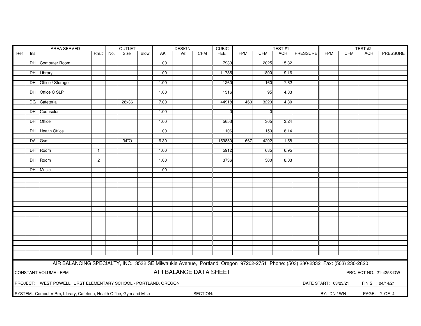|     |     | AREA SERVED                                                                                                                   | OUTLET       |     |       |      | <b>DESIGN</b> | <b>CUBIC</b>           |            |             | TEST#1     |                |       |                | TEST <sub>#2</sub>   |            |                  |                         |
|-----|-----|-------------------------------------------------------------------------------------------------------------------------------|--------------|-----|-------|------|---------------|------------------------|------------|-------------|------------|----------------|-------|----------------|----------------------|------------|------------------|-------------------------|
| Ref | Ins |                                                                                                                               | $Rm.+$       | No. | Size  | Blow | AK            | Vel                    | <b>CFM</b> | <b>FEET</b> | <b>FPM</b> | <b>CFM</b>     |       | ACH   PRESSURE | <b>FPM</b>           | <b>CFM</b> | <b>ACH</b>       | PRESSURE                |
|     |     |                                                                                                                               |              |     |       |      |               |                        |            |             |            |                |       |                |                      |            |                  |                         |
|     |     | DH Computer Room                                                                                                              |              |     |       |      | 1.00          |                        |            | 7933        |            | 2025           | 15.32 |                |                      |            |                  |                         |
|     |     |                                                                                                                               |              |     |       |      |               |                        |            |             |            |                |       |                |                      |            |                  |                         |
|     |     | DH Library                                                                                                                    |              |     |       |      | 1.00          |                        |            | 11785       |            | 1800           | 9.16  |                |                      |            |                  |                         |
|     |     | DH Office / Storage                                                                                                           |              |     |       |      | 1.00          |                        |            | 1260        |            | 160            | 7.62  |                |                      |            |                  |                         |
|     |     |                                                                                                                               |              |     |       |      |               |                        |            |             |            |                |       |                |                      |            |                  |                         |
|     |     | DH Office C SLP                                                                                                               |              |     |       |      | 1.00          |                        |            | 1316        |            | 95             | 4.33  |                |                      |            |                  |                         |
|     |     |                                                                                                                               |              |     |       |      |               |                        |            |             |            |                |       |                |                      |            |                  |                         |
|     |     | DG Cafeteria                                                                                                                  |              |     | 28x36 |      | 7.00          |                        |            | 44918       | 460        | 3220           | 4.30  |                |                      |            |                  |                         |
|     |     |                                                                                                                               |              |     |       |      |               |                        |            |             |            |                |       |                |                      |            |                  |                         |
|     |     | DH Counselor                                                                                                                  |              |     |       |      | 1.00          |                        |            | $\Omega$    |            | $\overline{0}$ |       |                |                      |            |                  |                         |
|     |     |                                                                                                                               |              |     |       |      |               |                        |            |             |            |                |       |                |                      |            |                  |                         |
|     |     | DH Office                                                                                                                     |              |     |       |      | 1.00          |                        |            | 5653        |            | 305            | 3.24  |                |                      |            |                  |                         |
|     |     | DH Health Office                                                                                                              |              |     |       |      | 1.00          |                        |            | 1106        |            | 150            | 8.14  |                |                      |            |                  |                         |
|     |     |                                                                                                                               |              |     |       |      |               |                        |            |             |            |                |       |                |                      |            |                  |                         |
|     |     | DA Gym                                                                                                                        |              |     | 34"O  |      | 6.30          |                        |            | 159850      | 667        | 4202           | 1.58  |                |                      |            |                  |                         |
|     |     |                                                                                                                               |              |     |       |      |               |                        |            |             |            |                |       |                |                      |            |                  |                         |
|     |     | DH Room                                                                                                                       | $\mathbf{1}$ |     |       |      | 1.00          |                        |            | 5912        |            | 685            | 6.95  |                |                      |            |                  |                         |
|     |     |                                                                                                                               |              |     |       |      |               |                        |            |             |            |                |       |                |                      |            |                  |                         |
|     |     | DH Room                                                                                                                       | $\mathbf{2}$ |     |       |      | 1.00          |                        |            | 3736        |            | 500            | 8.03  |                |                      |            |                  |                         |
|     |     |                                                                                                                               |              |     |       |      |               |                        |            |             |            |                |       |                |                      |            |                  |                         |
|     |     | DH Music                                                                                                                      |              |     |       |      | 1.00          |                        |            |             |            |                |       |                |                      |            |                  |                         |
|     |     |                                                                                                                               |              |     |       |      |               |                        |            |             |            |                |       |                |                      |            |                  |                         |
|     |     |                                                                                                                               |              |     |       |      |               |                        |            |             |            |                |       |                |                      |            |                  |                         |
|     |     |                                                                                                                               |              |     |       |      |               |                        |            |             |            |                |       |                |                      |            |                  |                         |
|     |     |                                                                                                                               |              |     |       |      |               |                        |            |             |            |                |       |                |                      |            |                  |                         |
|     |     |                                                                                                                               |              |     |       |      |               |                        |            |             |            |                |       |                |                      |            |                  |                         |
|     |     |                                                                                                                               |              |     |       |      |               |                        |            |             |            |                |       |                |                      |            |                  |                         |
|     |     |                                                                                                                               |              |     |       |      |               |                        |            |             |            |                |       |                |                      |            |                  |                         |
|     |     |                                                                                                                               |              |     |       |      |               |                        |            |             |            |                |       |                |                      |            |                  |                         |
|     |     |                                                                                                                               |              |     |       |      |               |                        |            |             |            |                |       |                |                      |            |                  |                         |
|     |     |                                                                                                                               |              |     |       |      |               |                        |            |             |            |                |       |                |                      |            |                  |                         |
|     |     |                                                                                                                               |              |     |       |      |               |                        |            |             |            |                |       |                |                      |            |                  |                         |
|     |     |                                                                                                                               |              |     |       |      |               |                        |            |             |            |                |       |                |                      |            |                  |                         |
|     |     |                                                                                                                               |              |     |       |      |               |                        |            |             |            |                |       |                |                      |            |                  |                         |
|     |     |                                                                                                                               |              |     |       |      |               |                        |            |             |            |                |       |                |                      |            |                  |                         |
|     |     |                                                                                                                               |              |     |       |      |               |                        |            |             |            |                |       |                |                      |            |                  |                         |
|     |     |                                                                                                                               |              |     |       |      |               |                        |            |             |            |                |       |                |                      |            |                  |                         |
|     |     | AIR BALANCING SPECIALTY, INC. 3532 SE Milwaukie Avenue, Portland, Oregon 97202-2751 Phone: (503) 230-2332 Fax: (503) 230-2820 |              |     |       |      |               |                        |            |             |            |                |       |                |                      |            |                  |                         |
|     |     |                                                                                                                               |              |     |       |      |               |                        |            |             |            |                |       |                |                      |            |                  |                         |
|     |     | CONSTANT VOLUME - FPM                                                                                                         |              |     |       |      |               | AIR BALANCE DATA SHEET |            |             |            |                |       |                |                      |            |                  | PROJECT NO.: 21-4253-DW |
|     |     |                                                                                                                               |              |     |       |      |               |                        |            |             |            |                |       |                |                      |            |                  |                         |
|     |     | PROJECT: WEST POWELLHURST ELEMENTARY SCHOOL - PORTLAND, OREGON                                                                |              |     |       |      |               |                        |            |             |            |                |       |                | DATE START: 03/23/21 |            | FINISH: 04/14/21 |                         |
|     |     |                                                                                                                               |              |     |       |      |               |                        |            |             |            |                |       |                |                      |            |                  |                         |
|     |     | SYSTEM: Computer Rm, Library, Cafeteria, Health Office, Gym and Misc                                                          |              |     |       |      |               |                        | SECTION:   |             |            |                |       |                | BY: DN / WN          |            |                  | PAGE: 2 OF 4            |
|     |     |                                                                                                                               |              |     |       |      |               |                        |            |             |            |                |       |                |                      |            |                  |                         |
|     |     |                                                                                                                               |              |     |       |      |               |                        |            |             |            |                |       |                |                      |            |                  |                         |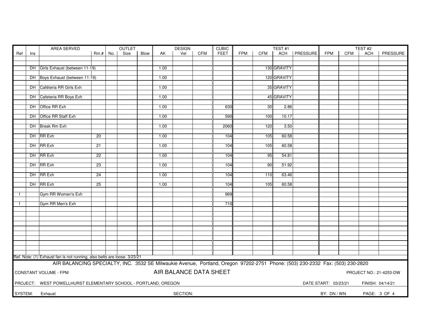| PRESSURE<br>Size<br>Vel<br><b>CFM</b><br><b>FEET</b><br><b>FPM</b><br><b>CFM</b><br><b>ACH</b><br><b>FPM</b><br>CFM<br><b>ACH</b><br>PRESSURE<br>Ref<br>No.<br><b>Blow</b><br>AK<br>Rm.#<br>Ins<br>130 GRAVITY<br>DH Girls Exhaust (between 11-19)<br>1.00<br>120 GRAVITY<br>DH Boys Exhaust (between 11-19)<br>1.00<br>DH Caféteria RR Girls Exh<br>35 GRAVITY<br>1.00<br>45 GRAVITY<br>DH Cafeteria RR Boys Exh<br>1.00<br>DH Office RR Exh<br>$\overline{30}$<br>2.86<br>1.00<br>630<br>DH Office RR Staff Exh<br>590<br>1.00<br>100<br>10.17<br>DH Break Rm Exh<br>1.00<br>2060<br>120<br>3.50<br>DH RR Exh<br>105<br>60.58<br>20<br>1.00<br>104<br>DH RR Exh<br>21<br>1.00<br>105<br>60.58<br>104<br>DH RR Exh<br>22<br>1.00<br>104<br>95<br>54.81<br>DH RR Exh<br>23<br>51.92<br>1.00<br>104<br>90<br>DH RR Exh<br>$\overline{24}$<br>1.00<br>104<br>63.46<br>110<br>DH RR Exh<br>$\overline{25}$<br>60.58<br>1.00<br>104<br>105<br>Gym RR Women's Exh<br>969<br>$\overline{1}$<br>Gym RR Men's Exh<br>710<br>$\mathbf{1}$<br>Ref. Note: (1) Exhaust fan is not running, also belts are loose. 3/23/21<br>AIR BALANCING SPECIALTY, INC. 3532 SE Milwaukie Avenue, Portland, Oregon 97202-2751 Phone: (503) 230-2332 Fax: (503) 230-2820<br>AIR BALANCE DATA SHEET<br><b>CONSTANT VOLUME - FPM</b><br>PROJECT NO.: 21-4253-DW<br>PROJECT: WEST POWELLHURST ELEMENTARY SCHOOL - PORTLAND, OREGON<br>DATE START: 03/23/21<br>FINISH: 04/14/21<br>SECTION:<br>SYSTEM:<br>BY: DN / WN<br>PAGE: 3 OF 4<br>Exhaust | AREA SERVED |  |  | OUTLET |  | <b>DESIGN</b> |  | <b>CUBIC</b> |  | TEST#1 |  | TEST#2 |  |  |
|-------------------------------------------------------------------------------------------------------------------------------------------------------------------------------------------------------------------------------------------------------------------------------------------------------------------------------------------------------------------------------------------------------------------------------------------------------------------------------------------------------------------------------------------------------------------------------------------------------------------------------------------------------------------------------------------------------------------------------------------------------------------------------------------------------------------------------------------------------------------------------------------------------------------------------------------------------------------------------------------------------------------------------------------------------------------------------------------------------------------------------------------------------------------------------------------------------------------------------------------------------------------------------------------------------------------------------------------------------------------------------------------------------------------------------------------------------------------------------------------------------------------|-------------|--|--|--------|--|---------------|--|--------------|--|--------|--|--------|--|--|
|                                                                                                                                                                                                                                                                                                                                                                                                                                                                                                                                                                                                                                                                                                                                                                                                                                                                                                                                                                                                                                                                                                                                                                                                                                                                                                                                                                                                                                                                                                                   |             |  |  |        |  |               |  |              |  |        |  |        |  |  |
|                                                                                                                                                                                                                                                                                                                                                                                                                                                                                                                                                                                                                                                                                                                                                                                                                                                                                                                                                                                                                                                                                                                                                                                                                                                                                                                                                                                                                                                                                                                   |             |  |  |        |  |               |  |              |  |        |  |        |  |  |
|                                                                                                                                                                                                                                                                                                                                                                                                                                                                                                                                                                                                                                                                                                                                                                                                                                                                                                                                                                                                                                                                                                                                                                                                                                                                                                                                                                                                                                                                                                                   |             |  |  |        |  |               |  |              |  |        |  |        |  |  |
|                                                                                                                                                                                                                                                                                                                                                                                                                                                                                                                                                                                                                                                                                                                                                                                                                                                                                                                                                                                                                                                                                                                                                                                                                                                                                                                                                                                                                                                                                                                   |             |  |  |        |  |               |  |              |  |        |  |        |  |  |
|                                                                                                                                                                                                                                                                                                                                                                                                                                                                                                                                                                                                                                                                                                                                                                                                                                                                                                                                                                                                                                                                                                                                                                                                                                                                                                                                                                                                                                                                                                                   |             |  |  |        |  |               |  |              |  |        |  |        |  |  |
|                                                                                                                                                                                                                                                                                                                                                                                                                                                                                                                                                                                                                                                                                                                                                                                                                                                                                                                                                                                                                                                                                                                                                                                                                                                                                                                                                                                                                                                                                                                   |             |  |  |        |  |               |  |              |  |        |  |        |  |  |
|                                                                                                                                                                                                                                                                                                                                                                                                                                                                                                                                                                                                                                                                                                                                                                                                                                                                                                                                                                                                                                                                                                                                                                                                                                                                                                                                                                                                                                                                                                                   |             |  |  |        |  |               |  |              |  |        |  |        |  |  |
|                                                                                                                                                                                                                                                                                                                                                                                                                                                                                                                                                                                                                                                                                                                                                                                                                                                                                                                                                                                                                                                                                                                                                                                                                                                                                                                                                                                                                                                                                                                   |             |  |  |        |  |               |  |              |  |        |  |        |  |  |
|                                                                                                                                                                                                                                                                                                                                                                                                                                                                                                                                                                                                                                                                                                                                                                                                                                                                                                                                                                                                                                                                                                                                                                                                                                                                                                                                                                                                                                                                                                                   |             |  |  |        |  |               |  |              |  |        |  |        |  |  |
|                                                                                                                                                                                                                                                                                                                                                                                                                                                                                                                                                                                                                                                                                                                                                                                                                                                                                                                                                                                                                                                                                                                                                                                                                                                                                                                                                                                                                                                                                                                   |             |  |  |        |  |               |  |              |  |        |  |        |  |  |
|                                                                                                                                                                                                                                                                                                                                                                                                                                                                                                                                                                                                                                                                                                                                                                                                                                                                                                                                                                                                                                                                                                                                                                                                                                                                                                                                                                                                                                                                                                                   |             |  |  |        |  |               |  |              |  |        |  |        |  |  |
|                                                                                                                                                                                                                                                                                                                                                                                                                                                                                                                                                                                                                                                                                                                                                                                                                                                                                                                                                                                                                                                                                                                                                                                                                                                                                                                                                                                                                                                                                                                   |             |  |  |        |  |               |  |              |  |        |  |        |  |  |
|                                                                                                                                                                                                                                                                                                                                                                                                                                                                                                                                                                                                                                                                                                                                                                                                                                                                                                                                                                                                                                                                                                                                                                                                                                                                                                                                                                                                                                                                                                                   |             |  |  |        |  |               |  |              |  |        |  |        |  |  |
|                                                                                                                                                                                                                                                                                                                                                                                                                                                                                                                                                                                                                                                                                                                                                                                                                                                                                                                                                                                                                                                                                                                                                                                                                                                                                                                                                                                                                                                                                                                   |             |  |  |        |  |               |  |              |  |        |  |        |  |  |
|                                                                                                                                                                                                                                                                                                                                                                                                                                                                                                                                                                                                                                                                                                                                                                                                                                                                                                                                                                                                                                                                                                                                                                                                                                                                                                                                                                                                                                                                                                                   |             |  |  |        |  |               |  |              |  |        |  |        |  |  |
|                                                                                                                                                                                                                                                                                                                                                                                                                                                                                                                                                                                                                                                                                                                                                                                                                                                                                                                                                                                                                                                                                                                                                                                                                                                                                                                                                                                                                                                                                                                   |             |  |  |        |  |               |  |              |  |        |  |        |  |  |
|                                                                                                                                                                                                                                                                                                                                                                                                                                                                                                                                                                                                                                                                                                                                                                                                                                                                                                                                                                                                                                                                                                                                                                                                                                                                                                                                                                                                                                                                                                                   |             |  |  |        |  |               |  |              |  |        |  |        |  |  |
|                                                                                                                                                                                                                                                                                                                                                                                                                                                                                                                                                                                                                                                                                                                                                                                                                                                                                                                                                                                                                                                                                                                                                                                                                                                                                                                                                                                                                                                                                                                   |             |  |  |        |  |               |  |              |  |        |  |        |  |  |
|                                                                                                                                                                                                                                                                                                                                                                                                                                                                                                                                                                                                                                                                                                                                                                                                                                                                                                                                                                                                                                                                                                                                                                                                                                                                                                                                                                                                                                                                                                                   |             |  |  |        |  |               |  |              |  |        |  |        |  |  |
|                                                                                                                                                                                                                                                                                                                                                                                                                                                                                                                                                                                                                                                                                                                                                                                                                                                                                                                                                                                                                                                                                                                                                                                                                                                                                                                                                                                                                                                                                                                   |             |  |  |        |  |               |  |              |  |        |  |        |  |  |
|                                                                                                                                                                                                                                                                                                                                                                                                                                                                                                                                                                                                                                                                                                                                                                                                                                                                                                                                                                                                                                                                                                                                                                                                                                                                                                                                                                                                                                                                                                                   |             |  |  |        |  |               |  |              |  |        |  |        |  |  |
|                                                                                                                                                                                                                                                                                                                                                                                                                                                                                                                                                                                                                                                                                                                                                                                                                                                                                                                                                                                                                                                                                                                                                                                                                                                                                                                                                                                                                                                                                                                   |             |  |  |        |  |               |  |              |  |        |  |        |  |  |
|                                                                                                                                                                                                                                                                                                                                                                                                                                                                                                                                                                                                                                                                                                                                                                                                                                                                                                                                                                                                                                                                                                                                                                                                                                                                                                                                                                                                                                                                                                                   |             |  |  |        |  |               |  |              |  |        |  |        |  |  |
|                                                                                                                                                                                                                                                                                                                                                                                                                                                                                                                                                                                                                                                                                                                                                                                                                                                                                                                                                                                                                                                                                                                                                                                                                                                                                                                                                                                                                                                                                                                   |             |  |  |        |  |               |  |              |  |        |  |        |  |  |
|                                                                                                                                                                                                                                                                                                                                                                                                                                                                                                                                                                                                                                                                                                                                                                                                                                                                                                                                                                                                                                                                                                                                                                                                                                                                                                                                                                                                                                                                                                                   |             |  |  |        |  |               |  |              |  |        |  |        |  |  |
|                                                                                                                                                                                                                                                                                                                                                                                                                                                                                                                                                                                                                                                                                                                                                                                                                                                                                                                                                                                                                                                                                                                                                                                                                                                                                                                                                                                                                                                                                                                   |             |  |  |        |  |               |  |              |  |        |  |        |  |  |
|                                                                                                                                                                                                                                                                                                                                                                                                                                                                                                                                                                                                                                                                                                                                                                                                                                                                                                                                                                                                                                                                                                                                                                                                                                                                                                                                                                                                                                                                                                                   |             |  |  |        |  |               |  |              |  |        |  |        |  |  |
|                                                                                                                                                                                                                                                                                                                                                                                                                                                                                                                                                                                                                                                                                                                                                                                                                                                                                                                                                                                                                                                                                                                                                                                                                                                                                                                                                                                                                                                                                                                   |             |  |  |        |  |               |  |              |  |        |  |        |  |  |
|                                                                                                                                                                                                                                                                                                                                                                                                                                                                                                                                                                                                                                                                                                                                                                                                                                                                                                                                                                                                                                                                                                                                                                                                                                                                                                                                                                                                                                                                                                                   |             |  |  |        |  |               |  |              |  |        |  |        |  |  |
|                                                                                                                                                                                                                                                                                                                                                                                                                                                                                                                                                                                                                                                                                                                                                                                                                                                                                                                                                                                                                                                                                                                                                                                                                                                                                                                                                                                                                                                                                                                   |             |  |  |        |  |               |  |              |  |        |  |        |  |  |
|                                                                                                                                                                                                                                                                                                                                                                                                                                                                                                                                                                                                                                                                                                                                                                                                                                                                                                                                                                                                                                                                                                                                                                                                                                                                                                                                                                                                                                                                                                                   |             |  |  |        |  |               |  |              |  |        |  |        |  |  |
|                                                                                                                                                                                                                                                                                                                                                                                                                                                                                                                                                                                                                                                                                                                                                                                                                                                                                                                                                                                                                                                                                                                                                                                                                                                                                                                                                                                                                                                                                                                   |             |  |  |        |  |               |  |              |  |        |  |        |  |  |
|                                                                                                                                                                                                                                                                                                                                                                                                                                                                                                                                                                                                                                                                                                                                                                                                                                                                                                                                                                                                                                                                                                                                                                                                                                                                                                                                                                                                                                                                                                                   |             |  |  |        |  |               |  |              |  |        |  |        |  |  |
|                                                                                                                                                                                                                                                                                                                                                                                                                                                                                                                                                                                                                                                                                                                                                                                                                                                                                                                                                                                                                                                                                                                                                                                                                                                                                                                                                                                                                                                                                                                   |             |  |  |        |  |               |  |              |  |        |  |        |  |  |
|                                                                                                                                                                                                                                                                                                                                                                                                                                                                                                                                                                                                                                                                                                                                                                                                                                                                                                                                                                                                                                                                                                                                                                                                                                                                                                                                                                                                                                                                                                                   |             |  |  |        |  |               |  |              |  |        |  |        |  |  |
|                                                                                                                                                                                                                                                                                                                                                                                                                                                                                                                                                                                                                                                                                                                                                                                                                                                                                                                                                                                                                                                                                                                                                                                                                                                                                                                                                                                                                                                                                                                   |             |  |  |        |  |               |  |              |  |        |  |        |  |  |
|                                                                                                                                                                                                                                                                                                                                                                                                                                                                                                                                                                                                                                                                                                                                                                                                                                                                                                                                                                                                                                                                                                                                                                                                                                                                                                                                                                                                                                                                                                                   |             |  |  |        |  |               |  |              |  |        |  |        |  |  |
|                                                                                                                                                                                                                                                                                                                                                                                                                                                                                                                                                                                                                                                                                                                                                                                                                                                                                                                                                                                                                                                                                                                                                                                                                                                                                                                                                                                                                                                                                                                   |             |  |  |        |  |               |  |              |  |        |  |        |  |  |
|                                                                                                                                                                                                                                                                                                                                                                                                                                                                                                                                                                                                                                                                                                                                                                                                                                                                                                                                                                                                                                                                                                                                                                                                                                                                                                                                                                                                                                                                                                                   |             |  |  |        |  |               |  |              |  |        |  |        |  |  |